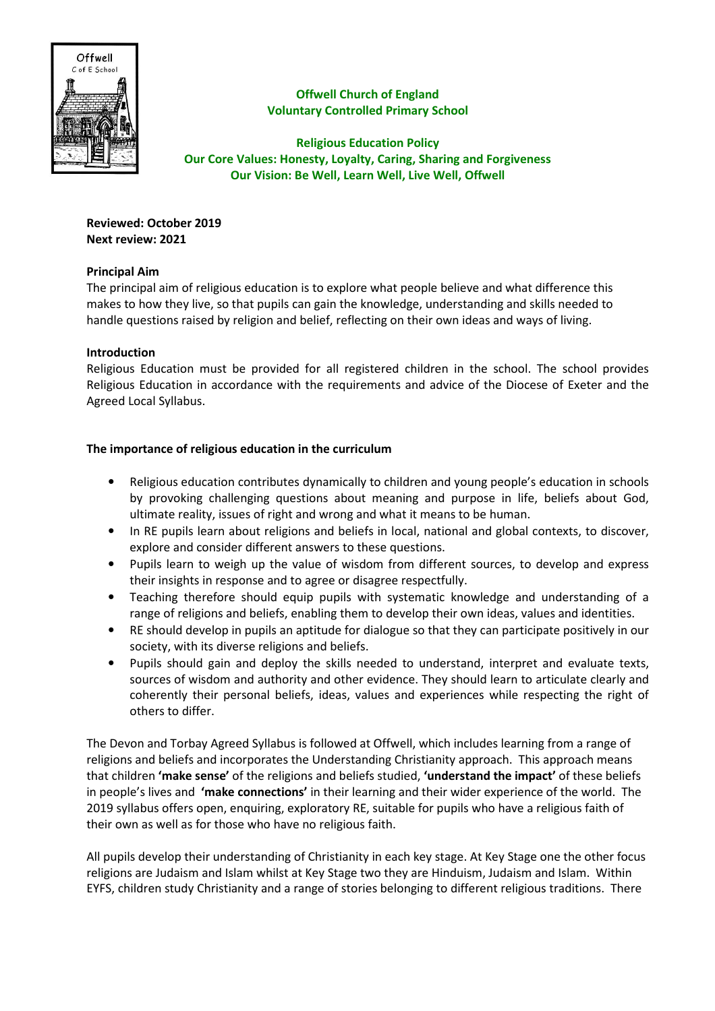

Offwell Church of England Voluntary Controlled Primary School

Religious Education Policy Our Core Values: Honesty, Loyalty, Caring, Sharing and Forgiveness Our Vision: Be Well, Learn Well, Live Well, Offwell

Reviewed: October 2019 Next review: 2021

# Principal Aim

The principal aim of religious education is to explore what people believe and what difference this makes to how they live, so that pupils can gain the knowledge, understanding and skills needed to handle questions raised by religion and belief, reflecting on their own ideas and ways of living.

## Introduction

Religious Education must be provided for all registered children in the school. The school provides Religious Education in accordance with the requirements and advice of the Diocese of Exeter and the Agreed Local Syllabus.

# The importance of religious education in the curriculum

- Religious education contributes dynamically to children and young people's education in schools by provoking challenging questions about meaning and purpose in life, beliefs about God, ultimate reality, issues of right and wrong and what it means to be human.
- In RE pupils learn about religions and beliefs in local, national and global contexts, to discover, explore and consider different answers to these questions.
- Pupils learn to weigh up the value of wisdom from different sources, to develop and express their insights in response and to agree or disagree respectfully.
- Teaching therefore should equip pupils with systematic knowledge and understanding of a range of religions and beliefs, enabling them to develop their own ideas, values and identities.
- RE should develop in pupils an aptitude for dialogue so that they can participate positively in our society, with its diverse religions and beliefs.
- Pupils should gain and deploy the skills needed to understand, interpret and evaluate texts, sources of wisdom and authority and other evidence. They should learn to articulate clearly and coherently their personal beliefs, ideas, values and experiences while respecting the right of others to differ.

The Devon and Torbay Agreed Syllabus is followed at Offwell, which includes learning from a range of religions and beliefs and incorporates the Understanding Christianity approach. This approach means that children 'make sense' of the religions and beliefs studied, 'understand the impact' of these beliefs in people's lives and 'make connections' in their learning and their wider experience of the world. The 2019 syllabus offers open, enquiring, exploratory RE, suitable for pupils who have a religious faith of their own as well as for those who have no religious faith.

All pupils develop their understanding of Christianity in each key stage. At Key Stage one the other focus religions are Judaism and Islam whilst at Key Stage two they are Hinduism, Judaism and Islam. Within EYFS, children study Christianity and a range of stories belonging to different religious traditions. There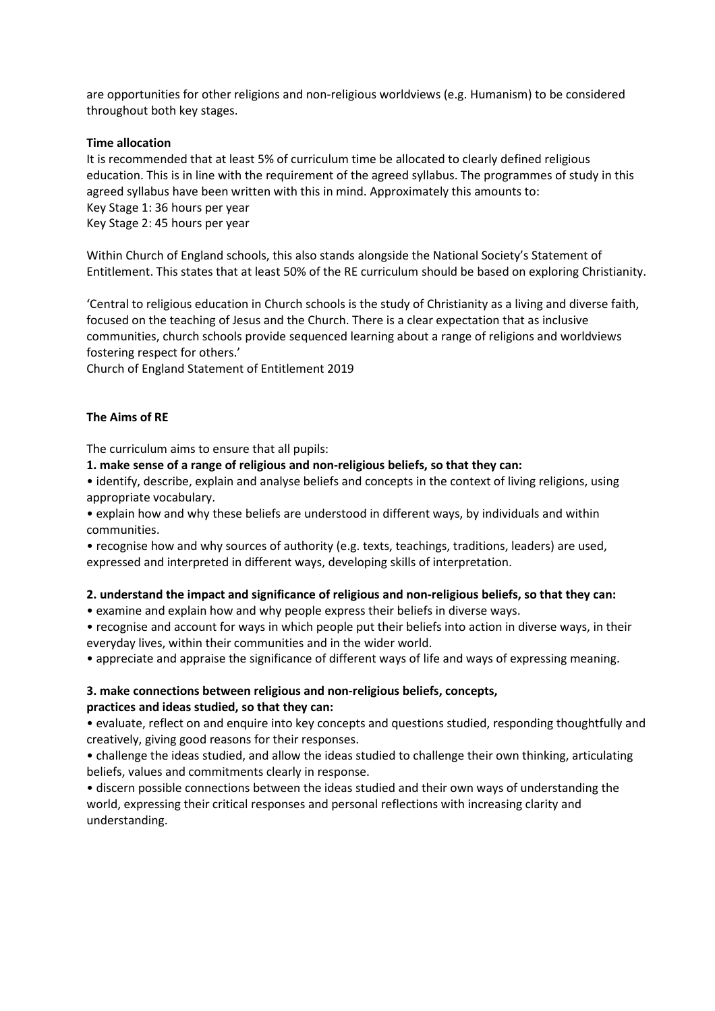are opportunities for other religions and non-religious worldviews (e.g. Humanism) to be considered throughout both key stages.

### Time allocation

It is recommended that at least 5% of curriculum time be allocated to clearly defined religious education. This is in line with the requirement of the agreed syllabus. The programmes of study in this agreed syllabus have been written with this in mind. Approximately this amounts to: Key Stage 1: 36 hours per year Key Stage 2: 45 hours per year

Within Church of England schools, this also stands alongside the National Society's Statement of Entitlement. This states that at least 50% of the RE curriculum should be based on exploring Christianity.

'Central to religious education in Church schools is the study of Christianity as a living and diverse faith, focused on the teaching of Jesus and the Church. There is a clear expectation that as inclusive communities, church schools provide sequenced learning about a range of religions and worldviews fostering respect for others.'

Church of England Statement of Entitlement 2019

### The Aims of RE

The curriculum aims to ensure that all pupils:

1. make sense of a range of religious and non-religious beliefs, so that they can:

• identify, describe, explain and analyse beliefs and concepts in the context of living religions, using appropriate vocabulary.

• explain how and why these beliefs are understood in different ways, by individuals and within communities.

• recognise how and why sources of authority (e.g. texts, teachings, traditions, leaders) are used, expressed and interpreted in different ways, developing skills of interpretation.

#### 2. understand the impact and significance of religious and non-religious beliefs, so that they can:

• examine and explain how and why people express their beliefs in diverse ways.

• recognise and account for ways in which people put their beliefs into action in diverse ways, in their everyday lives, within their communities and in the wider world.

• appreciate and appraise the significance of different ways of life and ways of expressing meaning.

### 3. make connections between religious and non-religious beliefs, concepts, practices and ideas studied, so that they can:

• evaluate, reflect on and enquire into key concepts and questions studied, responding thoughtfully and creatively, giving good reasons for their responses.

• challenge the ideas studied, and allow the ideas studied to challenge their own thinking, articulating beliefs, values and commitments clearly in response.

• discern possible connections between the ideas studied and their own ways of understanding the world, expressing their critical responses and personal reflections with increasing clarity and understanding.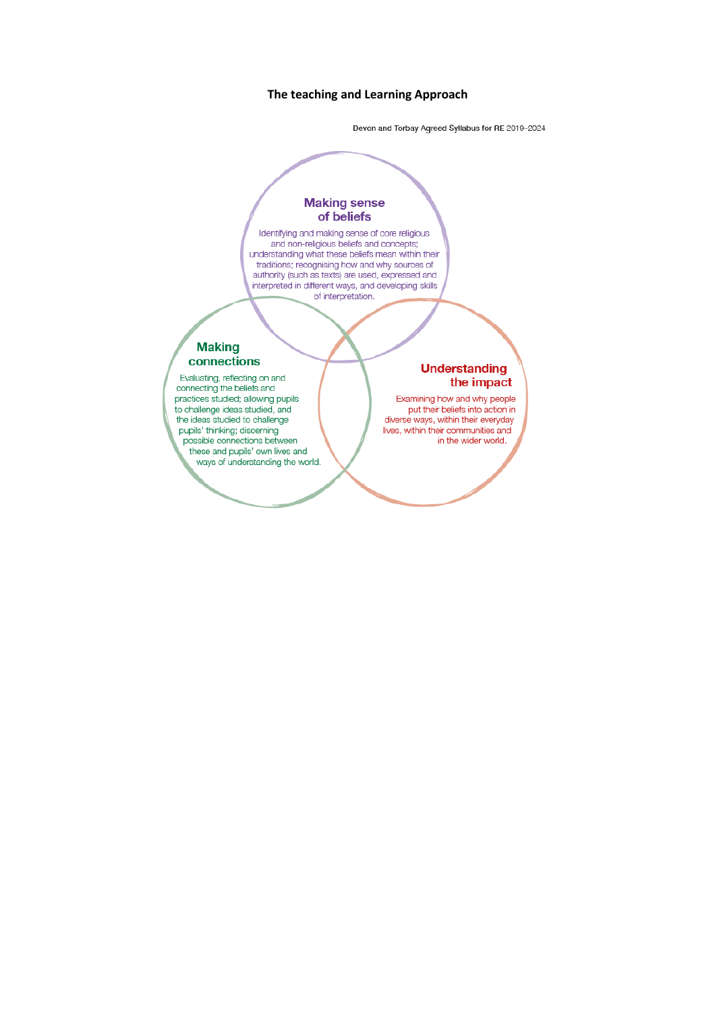### The teaching and Learning Approach

Devon and Torbay Agreed Syllabus for RE 2019-2024

### **Making sense** of beliefs

Identifying and making sense of core religious<br>and non-religious beliefs and concepts;<br>understanding what these beliefs mean within their traditions; recognising how and why sources of authority (such as texts) are used, expressed and<br>interpreted in different ways, and developing skills of interpretation.

#### **Making** connections

Evaluating, reflecting on and connecting the beliefs and practices studied; allowing pupils to challenge ideas studied, and the ideas studied to challenge pupils' thinking; discerning possible connections between these and pupils' own lives and ways of understanding the world.

### **Understanding** the impact

Examining how and why people<br>put their beliefs into action in diverse ways, within their everyday lives, within their communities and in the wider world.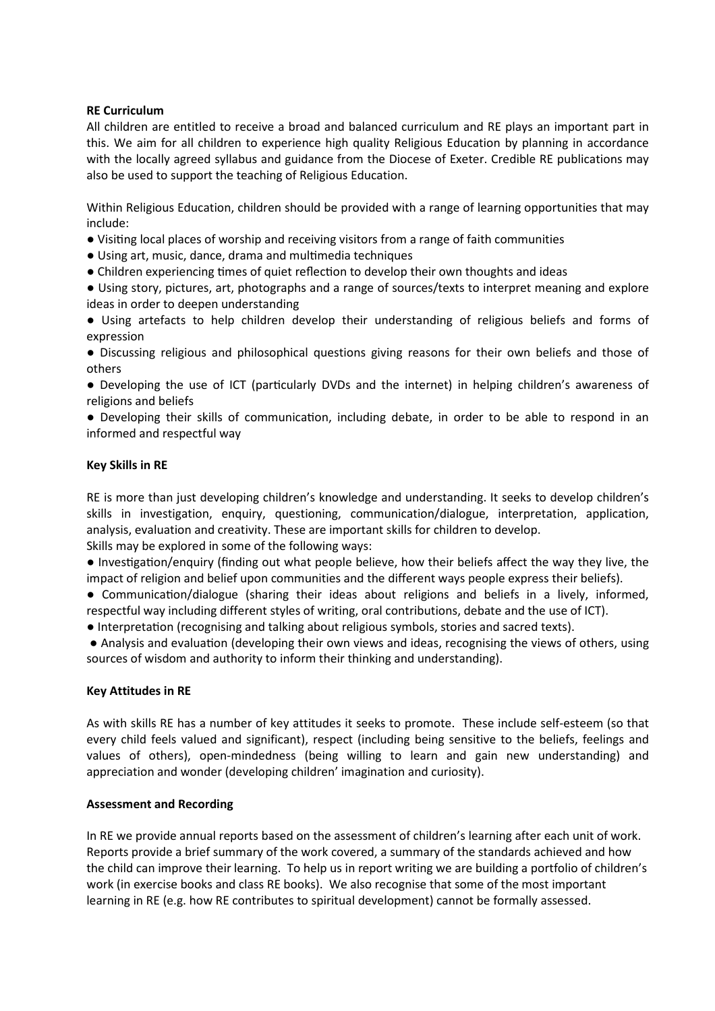## RE Curriculum

All children are entitled to receive a broad and balanced curriculum and RE plays an important part in this. We aim for all children to experience high quality Religious Education by planning in accordance with the locally agreed syllabus and guidance from the Diocese of Exeter. Credible RE publications may also be used to support the teaching of Religious Education.

Within Religious Education, children should be provided with a range of learning opportunities that may include:

- Visiting local places of worship and receiving visitors from a range of faith communities
- Using art, music, dance, drama and multimedia techniques
- Children experiencing times of quiet reflection to develop their own thoughts and ideas

● Using story, pictures, art, photographs and a range of sources/texts to interpret meaning and explore ideas in order to deepen understanding

● Using artefacts to help children develop their understanding of religious beliefs and forms of expression

● Discussing religious and philosophical questions giving reasons for their own beliefs and those of others

• Developing the use of ICT (particularly DVDs and the internet) in helping children's awareness of religions and beliefs

• Developing their skills of communication, including debate, in order to be able to respond in an informed and respectful way

## Key Skills in RE

RE is more than just developing children's knowledge and understanding. It seeks to develop children's skills in investigation, enquiry, questioning, communication/dialogue, interpretation, application, analysis, evaluation and creativity. These are important skills for children to develop.

Skills may be explored in some of the following ways:

• Investigation/enquiry (finding out what people believe, how their beliefs affect the way they live, the impact of religion and belief upon communities and the different ways people express their beliefs).

• Communication/dialogue (sharing their ideas about religions and beliefs in a lively, informed, respectful way including different styles of writing, oral contributions, debate and the use of ICT).

• Interpretation (recognising and talking about religious symbols, stories and sacred texts).

• Analysis and evaluation (developing their own views and ideas, recognising the views of others, using sources of wisdom and authority to inform their thinking and understanding).

## Key Attitudes in RE

As with skills RE has a number of key attitudes it seeks to promote. These include self-esteem (so that every child feels valued and significant), respect (including being sensitive to the beliefs, feelings and values of others), open-mindedness (being willing to learn and gain new understanding) and appreciation and wonder (developing children' imagination and curiosity).

## Assessment and Recording

In RE we provide annual reports based on the assessment of children's learning after each unit of work. Reports provide a brief summary of the work covered, a summary of the standards achieved and how the child can improve their learning. To help us in report writing we are building a portfolio of children's work (in exercise books and class RE books). We also recognise that some of the most important learning in RE (e.g. how RE contributes to spiritual development) cannot be formally assessed.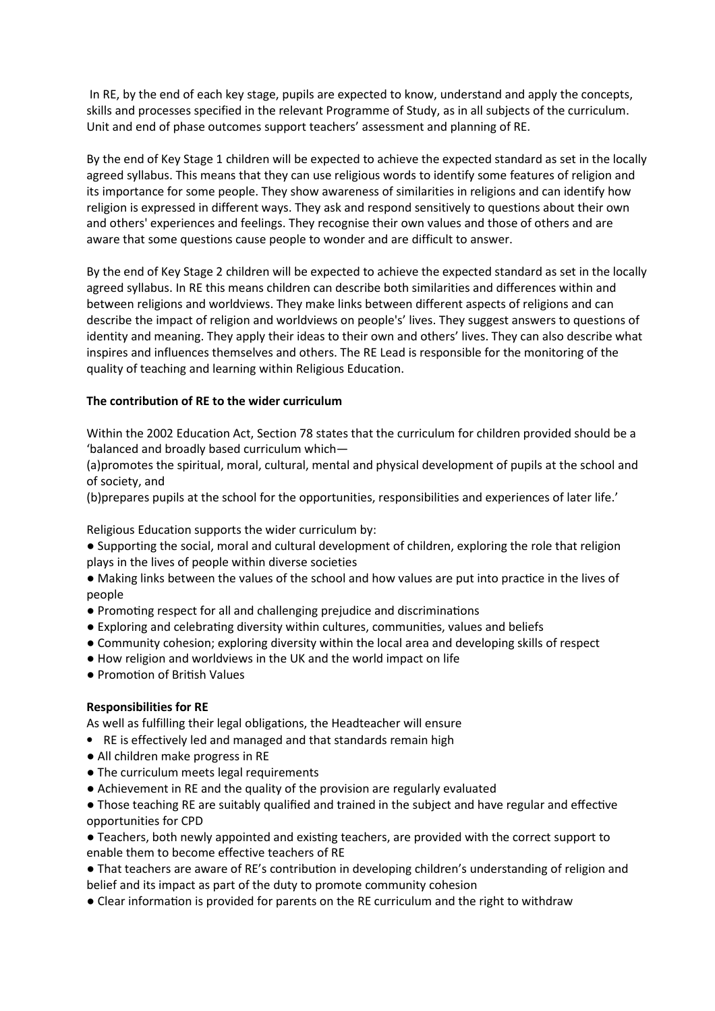In RE, by the end of each key stage, pupils are expected to know, understand and apply the concepts, skills and processes specified in the relevant Programme of Study, as in all subjects of the curriculum. Unit and end of phase outcomes support teachers' assessment and planning of RE.

By the end of Key Stage 1 children will be expected to achieve the expected standard as set in the locally agreed syllabus. This means that they can use religious words to identify some features of religion and its importance for some people. They show awareness of similarities in religions and can identify how religion is expressed in different ways. They ask and respond sensitively to questions about their own and others' experiences and feelings. They recognise their own values and those of others and are aware that some questions cause people to wonder and are difficult to answer.

By the end of Key Stage 2 children will be expected to achieve the expected standard as set in the locally agreed syllabus. In RE this means children can describe both similarities and differences within and between religions and worldviews. They make links between different aspects of religions and can describe the impact of religion and worldviews on people's' lives. They suggest answers to questions of identity and meaning. They apply their ideas to their own and others' lives. They can also describe what inspires and influences themselves and others. The RE Lead is responsible for the monitoring of the quality of teaching and learning within Religious Education.

# The contribution of RE to the wider curriculum

Within the 2002 Education Act, Section 78 states that the curriculum for children provided should be a 'balanced and broadly based curriculum which—

(a)promotes the spiritual, moral, cultural, mental and physical development of pupils at the school and of society, and

(b)prepares pupils at the school for the opportunities, responsibilities and experiences of later life.'

Religious Education supports the wider curriculum by:

● Supporting the social, moral and cultural development of children, exploring the role that religion plays in the lives of people within diverse societies

• Making links between the values of the school and how values are put into practice in the lives of people

- Promoting respect for all and challenging prejudice and discriminations
- $\bullet$  Exploring and celebrating diversity within cultures, communities, values and beliefs
- Community cohesion; exploring diversity within the local area and developing skills of respect
- How religion and worldviews in the UK and the world impact on life
- Promotion of British Values

## Responsibilities for RE

As well as fulfilling their legal obligations, the Headteacher will ensure

- RE is effectively led and managed and that standards remain high
- All children make progress in RE
- The curriculum meets legal requirements
- Achievement in RE and the quality of the provision are regularly evaluated

• Those teaching RE are suitably qualified and trained in the subject and have regular and effective opportunities for CPD

• Teachers, both newly appointed and existing teachers, are provided with the correct support to enable them to become effective teachers of RE

• That teachers are aware of RE's contribution in developing children's understanding of religion and belief and its impact as part of the duty to promote community cohesion

• Clear information is provided for parents on the RE curriculum and the right to withdraw